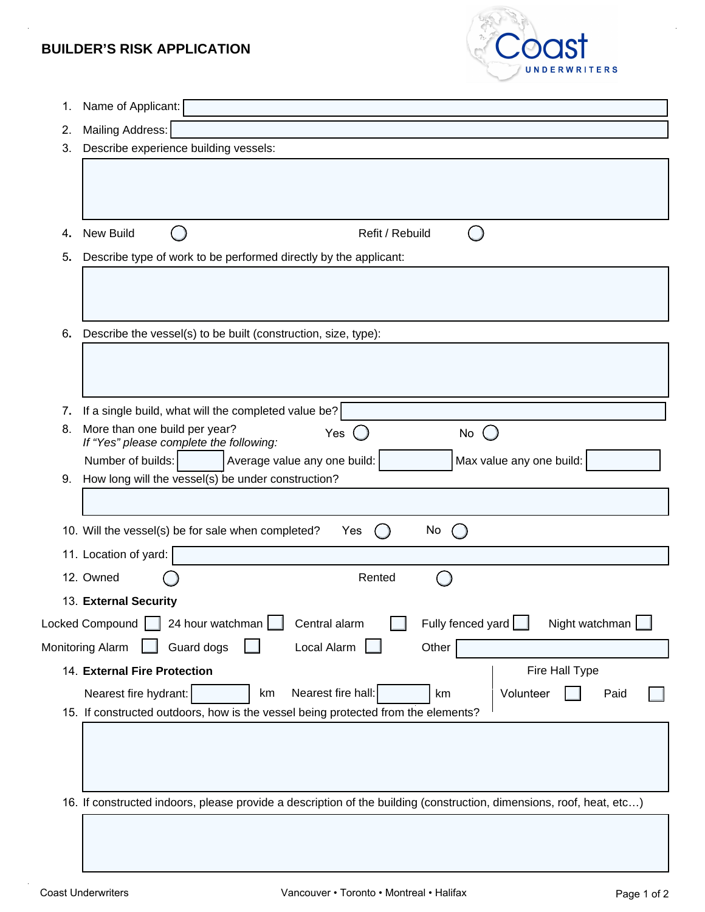## **BUILDER'S RISK APPLICATION**



| 1. | Name of Applicant:                                                                                                       |  |  |  |  |  |  |  |  |
|----|--------------------------------------------------------------------------------------------------------------------------|--|--|--|--|--|--|--|--|
| 2. | Mailing Address:                                                                                                         |  |  |  |  |  |  |  |  |
| 3. | Describe experience building vessels:                                                                                    |  |  |  |  |  |  |  |  |
|    |                                                                                                                          |  |  |  |  |  |  |  |  |
|    |                                                                                                                          |  |  |  |  |  |  |  |  |
|    |                                                                                                                          |  |  |  |  |  |  |  |  |
| 4. | <b>New Build</b><br>Refit / Rebuild                                                                                      |  |  |  |  |  |  |  |  |
|    | Describe type of work to be performed directly by the applicant:                                                         |  |  |  |  |  |  |  |  |
|    |                                                                                                                          |  |  |  |  |  |  |  |  |
|    |                                                                                                                          |  |  |  |  |  |  |  |  |
| 6. | Describe the vessel(s) to be built (construction, size, type):                                                           |  |  |  |  |  |  |  |  |
|    |                                                                                                                          |  |  |  |  |  |  |  |  |
|    |                                                                                                                          |  |  |  |  |  |  |  |  |
| 7. | If a single build, what will the completed value be?                                                                     |  |  |  |  |  |  |  |  |
| 8. | More than one build per year?<br>Yes<br>$\left( \begin{array}{c} \end{array} \right)$<br>No                              |  |  |  |  |  |  |  |  |
|    | If "Yes" please complete the following:<br>Max value any one build:<br>Number of builds:<br>Average value any one build: |  |  |  |  |  |  |  |  |
| 9. | How long will the vessel(s) be under construction?                                                                       |  |  |  |  |  |  |  |  |
|    |                                                                                                                          |  |  |  |  |  |  |  |  |
|    | 10. Will the vessel(s) be for sale when completed?<br>No<br>Yes                                                          |  |  |  |  |  |  |  |  |
|    | 11. Location of yard:                                                                                                    |  |  |  |  |  |  |  |  |
|    | 12. Owned<br>Rented                                                                                                      |  |  |  |  |  |  |  |  |
|    | 13. External Security                                                                                                    |  |  |  |  |  |  |  |  |
|    | 24 hour watchman<br>Central alarm<br>Fully fenced yard $\Box$<br>Night watchman<br>Locked Compound                       |  |  |  |  |  |  |  |  |
|    | Local Alarm<br>Guard dogs<br>Monitoring Alarm<br>Other                                                                   |  |  |  |  |  |  |  |  |
|    | 14. External Fire Protection<br>Fire Hall Type                                                                           |  |  |  |  |  |  |  |  |
|    | Nearest fire hall:<br>Nearest fire hydrant:<br>Volunteer<br>km<br>Paid<br>km                                             |  |  |  |  |  |  |  |  |
|    | 15. If constructed outdoors, how is the vessel being protected from the elements?                                        |  |  |  |  |  |  |  |  |
|    |                                                                                                                          |  |  |  |  |  |  |  |  |
|    |                                                                                                                          |  |  |  |  |  |  |  |  |
|    |                                                                                                                          |  |  |  |  |  |  |  |  |
|    | 16. If constructed indoors, please provide a description of the building (construction, dimensions, roof, heat, etc)     |  |  |  |  |  |  |  |  |
|    |                                                                                                                          |  |  |  |  |  |  |  |  |
|    |                                                                                                                          |  |  |  |  |  |  |  |  |
|    | 5.                                                                                                                       |  |  |  |  |  |  |  |  |